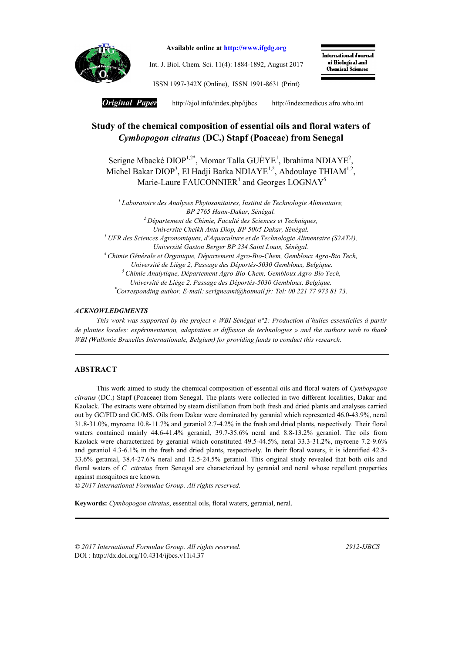

Available online at http://www.ifgdg.org

Int. J. Biol. Chem. Sci. 11(4): 1884-1892, August 2017

International Journal of Biological and **Chemical Sciences** 

ISSN 1997-342X (Online), ISSN 1991-8631 (Print)

*Original Paper* http://ajol.info/index.php/ijbcshttp://indexmedicus.afro.who.int

# Study of the chemical composition of essential oils and floral waters of *Cymbopogon citratus* (DC.) Stapf (Poaceae) from Senegal

Serigne Mbacké DIOP<sup>1,2\*</sup>, Momar Talla GUÈYE<sup>1</sup>, Ibrahima NDIAYE<sup>2</sup>, Michel Bakar DIOP<sup>3</sup>, El Hadji Barka NDIAYE<sup>1,2</sup>, Abdoulaye THIAM<sup>1,2</sup>, Marie-Laure FAUCONNIER<sup>4</sup> and Georges LOGNAY<sup>5</sup>

*<sup>1</sup> Laboratoire des Analyses Phytosanitaires, Institut de Technologie Alimentaire, BP 2765 Hann-Dakar, Sénégal. <sup>2</sup> Département de Chimie, Faculté des Sciences et Techniques, Université Cheikh Anta Diop, BP 5005 Dakar, Sénégal. <sup>3</sup> UFR des Sciences Agronomiques, d'Aquaculture et de Technologie Alimentaire (S2ATA), Université Gaston Berger BP 234 Saint Louis, Sénégal. <sup>4</sup> Chimie Générale et Organique, Département Agro-Bio-Chem, Gembloux Agro-Bio Tech, Université de Liège 2, Passage des Déportés-5030 Gembloux, Belgique. <sup>5</sup> Chimie Analytique, Département Agro-Bio-Chem, Gembloux Agro-Bio Tech, Université de Liège 2, Passage des Déportés-5030 Gembloux, Belgique. \* Corresponding author, E-mail: serigneami@hotmail.fr; Tel: 00 221 77 973 81 73.*

### *ACKNOWLEDGMENTS*

*This work was supported by the project « WBI-Sénégal n°2: Production d'huiles essentielles à partir de plantes locales: expérimentation, adaptation et diffusion de technologies » and the authors wish to thank WBI (Wallonie Bruxelles Internationale, Belgium) for providing funds to conduct this research.*

## ABSTRACT

This work aimed to study the chemical composition of essential oils and floral waters of *Cymbopogon citratus* (DC.) Stapf (Poaceae) from Senegal. The plants were collected in two different localities, Dakar and Kaolack. The extracts were obtained by steam distillation from both fresh and dried plants and analyses carried out by GC/FID and GC/MS. Oils from Dakar were dominated by geranial which represented 46.0-43.9%, neral 31.8-31.0%, myrcene 10.8-11.7% and geraniol 2.7-4.2% in the fresh and dried plants, respectively. Their floral waters contained mainly 44.6-41.4% geranial, 39.7-35.6% neral and 8.8-13.2% geraniol. The oils from Kaolack were characterized by geranial which constituted 49.5-44.5%, neral 33.3-31.2%, myrcene 7.2-9.6% and geraniol 4.3-6.1% in the fresh and dried plants, respectively. In their floral waters, it is identified 42.8- 33.6% geranial, 38.4-27.6% neral and 12.5-24.5% geraniol. This original study revealed that both oils and floral waters of *C. citratus* from Senegal are characterized by geranial and neral whose repellent properties against mosquitoes are known.

*© 2017 International Formulae Group. All rights reserved.*

Keywords: *Cymbopogon citratus*, essential oils, floral waters, geranial, neral.

*© 2017 International Formulae Group. All rights reserved. 2912-IJBCS* DOI : http://dx.doi.org/10.4314/ijbcs.v11i4.37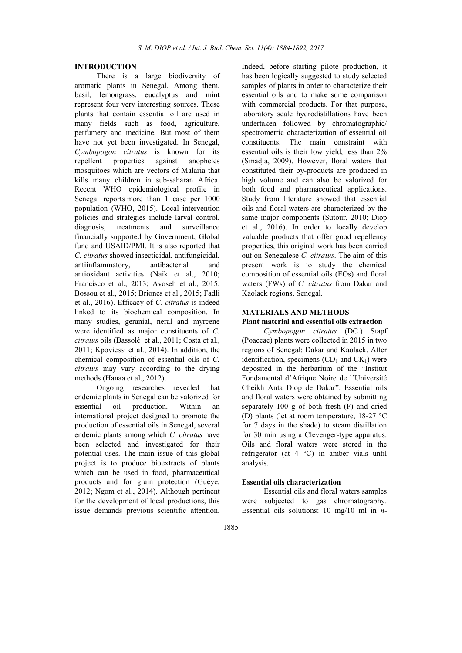#### INTRODUCTION

There is a large biodiversity of aromatic plants in Senegal. Among them, basil, lemongrass, eucalyptus and mint represent four very interesting sources. These plants that contain essential oil are used in many fields such as food, agriculture, perfumery and medicine*.* But most of them have not yet been investigated. In Senegal, *Cymbopogon citratus* is known for its repellent properties against anopheles mosquitoes which are vectors of Malaria that kills many children in sub-saharan Africa. Recent WHO epidemiological profile in Senegal reports more than 1 case per 1000 population (WHO, 2015). Local intervention policies and strategies include larval control, diagnosis, treatments and surveillance financially supported by Government, Global fund and USAID/PMI. It is also reported that *C. citratus* showed insecticidal, antifungicidal, antiinflammatory, antibacterial and antioxidant activities (Naik et al., 2010; Francisco et al., 2013; Avoseh et al., 2015; Bossou et al., 2015; Briones et al., 2015; Fadli et al., 2016). Efficacy of *C. citratus* is indeed linked to its biochemical composition. In many studies, geranial, neral and myrcene were identified as major constituents of *C. citratus* oils (Bassolé et al., 2011; Costa et al., 2011; Kpoviessi et al., 2014). In addition, the chemical composition of essential oils of *C. citratus* may vary according to the drying methods (Hanaa et al., 2012).

Ongoing researches revealed that endemic plants in Senegal can be valorized for essential oil production. Within an international project designed to promote the production of essential oils in Senegal, several endemic plants among which *C. citratus* have been selected and investigated for their potential uses. The main issue of this global project is to produce bioextracts of plants which can be used in food, pharmaceutical products and for grain protection (Guèye, 2012; Ngom et al., 2014). Although pertinent for the development of local productions, this issue demands previous scientific attention.

Indeed, before starting pilote production, it has been logically suggested to study selected samples of plants in order to characterize their essential oils and to make some comparison with commercial products. For that purpose, laboratory scale hydrodistillations have been undertaken followed by chromatographic/ spectrometric characterization of essential oil constituents. The main constraint with essential oils is their low yield, less than 2% (Smadja, 2009). However, floral waters that constituted their by-products are produced in high volume and can also be valorized for both food and pharmaceutical applications. Study from literature showed that essential oils and floral waters are characterized by the same major components (Sutour, 2010; Diop et al., 2016). In order to locally develop valuable products that offer good repellency properties, this original work has been carried out on Senegalese *C. citratus*. The aim of this present work is to study the chemical composition of essential oils (EOs) and floral waters (FWs) of *C. citratus* from Dakar and Kaolack regions, Senegal.

# MATERIALS AND METHODS

### Plant material and essential oils extraction

*Cymbopogon citratus* (DC.) Stapf (Poaceae) plants were collected in 2015 in two regions of Senegal: Dakar and Kaolack. After identification, specimens  $(CD_1$  and  $CK_1$ ) were deposited in the herbarium of the "Institut Fondamental d'Afrique Noire de l'Université Cheikh Anta Diop de Dakar". Essential oils and floral waters were obtained by submitting separately 100 g of both fresh (F) and dried (D) plants (let at room temperature, 18-27 °C for 7 days in the shade) to steam distillation for 30 min using a Clevenger-type apparatus. Oils and floral waters were stored in the refrigerator (at 4 °C) in amber vials until analysis.

## Essential oils characterization

Essential oils and floral waters samples were subjected to gas chromatography. Essential oils solutions: 10 mg/10 ml in *n*-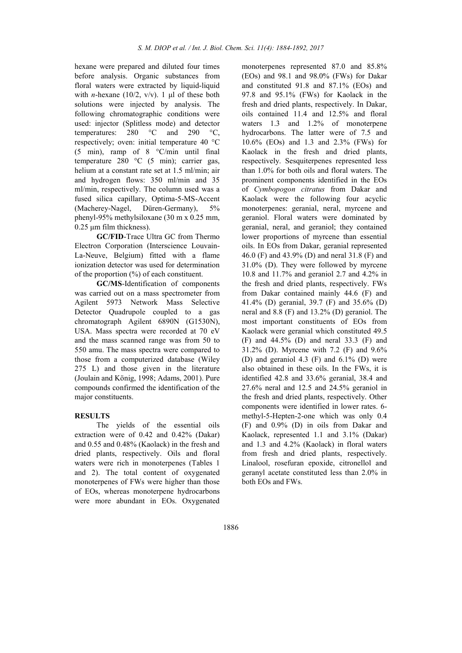hexane were prepared and diluted four times before analysis. Organic substances from floral waters were extracted by liquid-liquid with *n*-hexane (10/2,  $v/v$ ). 1 µl of these both solutions were injected by analysis. The following chromatographic conditions were used: injector (Splitless mode) and detector temperatures: 280 °C and 290 °C, respectively; oven: initial temperature 40 °C (5 min), ramp of 8 °C/min until final temperature 280 °C (5 min); carrier gas, helium at a constant rate set at 1.5 ml/min; air and hydrogen flows: 350 ml/min and 35 ml/min, respectively. The column used was a fused silica capillary, Optima-5-MS-Accent (Macherey-Nagel, Düren-Germany), 5% phenyl-95% methylsiloxane (30 m x 0.25 mm, 0.25 μm film thickness).

GC/FID-Trace Ultra GC from Thermo Electron Corporation (Interscience Louvain-La-Neuve, Belgium) fitted with a flame ionization detector was used for determination of the proportion (%) of each constituent.

GC/MS-Identification of components was carried out on a mass spectrometer from Agilent 5973 Network Mass Selective Detector Quadrupole coupled to a gas chromatograph Agilent 6890N (G1530N), USA. Mass spectra were recorded at 70 eV and the mass scanned range was from 50 to 550 amu. The mass spectra were compared to those from a computerized database (Wiley 275 L) and those given in the literature (Joulain and König, 1998; Adams, 2001). Pure compounds confirmed the identification of the major constituents.

## **RESULTS**

The yields of the essential oils extraction were of 0.42 and 0.42% (Dakar) and 0.55 and 0.48% (Kaolack) in the fresh and dried plants, respectively. Oils and floral waters were rich in monoterpenes (Tables 1 and 2). The total content of oxygenated monoterpenes of FWs were higher than those of EOs, whereas monoterpene hydrocarbons were more abundant in EOs. Oxygenated

monoterpenes represented 87.0 and 85.8% (EOs) and 98.1 and 98.0% (FWs) for Dakar and constituted 91.8 and 87.1% (EOs) and 97.8 and 95.1% (FWs) for Kaolack in the fresh and dried plants, respectively. In Dakar, oils contained 11.4 and 12.5% and floral waters 1.3 and 1.2% of monoterpene hydrocarbons. The latter were of 7.5 and 10.6% (EOs) and 1.3 and 2.3% (FWs) for Kaolack in the fresh and dried plants, respectively. Sesquiterpenes represented less than 1.0% for both oils and floral waters. The prominent components identified in the EOs of *Cymbopogon citratus* from Dakar and Kaolack were the following four acyclic monoterpenes: geranial, neral, myrcene and geraniol. Floral waters were dominated by geranial, neral, and geraniol; they contained lower proportions of myrcene than essential oils. In EOs from Dakar, geranial represented 46.0 (F) and 43.9% (D) and neral 31.8 (F) and 31.0% (D). They were followed by myrcene 10.8 and 11.7% and geraniol 2.7 and 4.2% in the fresh and dried plants, respectively. FWs from Dakar contained mainly 44.6 (F) and 41.4% (D) geranial, 39.7 (F) and 35.6% (D) neral and 8.8 (F) and 13.2% (D) geraniol. The most important constituents of EOs from Kaolack were geranial which constituted 49.5 (F) and 44.5% (D) and neral 33.3 (F) and 31.2% (D). Myrcene with 7.2 (F) and 9.6% (D) and geraniol 4.3 (F) and  $6.1\%$  (D) were also obtained in these oils. In the FWs, it is identified 42.8 and 33.6% geranial, 38.4 and 27.6% neral and 12.5 and 24.5% geraniol in the fresh and dried plants, respectively. Other components were identified in lower rates. 6 methyl-5-Hepten-2-one which was only 0.4 (F) and 0.9% (D) in oils from Dakar and Kaolack, represented 1.1 and 3.1% (Dakar) and 1.3 and 4.2% (Kaolack) in floral waters from fresh and dried plants, respectively. Linalool, rosefuran epoxide, citronellol and geranyl acetate constituted less than 2.0% in both EOs and FWs.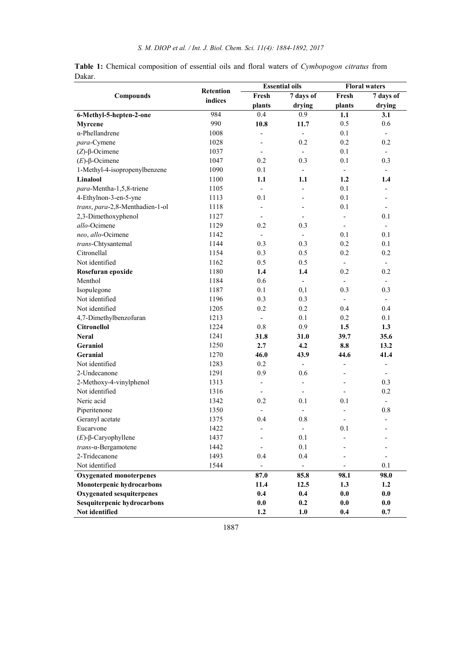|        |  |  |  |  |  | Table 1: Chemical composition of essential oils and floral waters of Cymbopogon citratus from |  |
|--------|--|--|--|--|--|-----------------------------------------------------------------------------------------------|--|
| Dakar. |  |  |  |  |  |                                                                                               |  |

|                                  | Retention |                          | <b>Essential oils</b>    | <b>Floral waters</b>         |                              |  |
|----------------------------------|-----------|--------------------------|--------------------------|------------------------------|------------------------------|--|
| Compounds                        | indices   | Fresh                    | 7 days of                | Fresh                        | 7 days of                    |  |
|                                  |           | plants                   | drying                   | plants                       | drying                       |  |
| 6-Methyl-5-hepten-2-one          | 984       | 0.4                      | 0.9                      | 1.1                          | 3.1                          |  |
| <b>Myrcene</b>                   | 990       | 10.8                     | 11.7                     | 0.5                          | 0.6                          |  |
| $\alpha$ -Phellandrene           | 1008      |                          | $\blacksquare$           | 0.1                          | $\overline{\phantom{a}}$     |  |
| para-Cymene                      | 1028      |                          | 0.2                      | 0.2                          | 0.2                          |  |
| $(Z)$ -β-Ocimene                 | 1037      |                          | $\overline{\phantom{a}}$ | 0.1                          | $\overline{\phantom{0}}$     |  |
| $(E)$ -β-Ocimene                 | 1047      | 0.2                      | 0.3                      | 0.1                          | 0.3                          |  |
| 1-Methyl-4-isopropenylbenzene    | 1090      | 0.1                      | $\overline{\phantom{a}}$ | $\overline{\phantom{a}}$     |                              |  |
| Linalool                         | 1100      | 1.1                      | 1.1                      | 1.2                          | 1.4                          |  |
| para-Mentha-1,5,8-triene         | 1105      |                          | $\overline{\phantom{0}}$ | 0.1                          |                              |  |
| 4-Ethylnon-3-en-5-yne            | 1113      | 0.1                      |                          | 0.1                          |                              |  |
| trans, para-2,8-Menthadien-1-ol  | 1118      |                          |                          | 0.1                          |                              |  |
| 2,3-Dimethoxyphenol              | 1127      |                          |                          | $\qquad \qquad \blacksquare$ | 0.1                          |  |
| allo-Ocimene                     | 1129      | 0.2                      | 0.3                      |                              |                              |  |
| neo, allo-Ocimene                | 1142      |                          | $\overline{\phantom{a}}$ | 0.1                          | 0.1                          |  |
| trans-Chtysantemal               | 1144      | 0.3                      | 0.3                      | 0.2                          | 0.1                          |  |
| Citronellal                      | 1154      | 0.3                      | 0.5                      | 0.2                          | 0.2                          |  |
| Not identified                   | 1162      | 0.5                      | 0.5                      | $\frac{1}{2}$                | $\overline{\phantom{a}}$     |  |
| Rosefuran epoxide                | 1180      | 1.4                      | 1.4                      | 0.2                          | 0.2                          |  |
| Menthol                          | 1184      | 0.6                      | $\frac{1}{2}$            | $\frac{1}{2}$                |                              |  |
| Isopulegone                      | 1187      | 0.1                      | 0,1                      | 0.3                          | 0.3                          |  |
| Not identified                   | 1196      | 0.3                      | 0.3                      | $\frac{1}{2}$                | $\overline{\phantom{a}}$     |  |
| Not identified                   | 1205      | 0.2                      | 0.2                      | 0.4                          | 0.4                          |  |
| 4,7-Dimethylbenzofuran           | 1213      | $\overline{a}$           | 0.1                      | 0.2                          | 0.1                          |  |
| <b>Citronellol</b>               | 1224      | 0.8                      | 0.9                      | 1.5                          | 1.3                          |  |
| <b>Neral</b>                     | 1241      | 31.8                     | 31.0                     | 39.7                         | 35.6                         |  |
| Geraniol                         | 1250      | 2.7                      | 4.2                      | 8.8                          | 13.2                         |  |
| <b>Geranial</b>                  | 1270      | 46.0                     | 43.9                     | 44.6                         | 41.4                         |  |
| Not identified                   | 1283      | 0.2                      | $\overline{\phantom{a}}$ | $\overline{\phantom{0}}$     | $\overline{a}$               |  |
| 2-Undecanone                     | 1291      | 0.9                      | 0.6                      | $\overline{a}$               | $\overline{\phantom{a}}$     |  |
| 2-Methoxy-4-vinylphenol          | 1313      | $\frac{1}{2}$            | $\blacksquare$           | $\overline{a}$               | 0.3                          |  |
| Not identified                   | 1316      | $\overline{\phantom{a}}$ | $\overline{\phantom{a}}$ | $\overline{\phantom{a}}$     | 0.2                          |  |
| Neric acid                       | 1342      | 0.2                      | 0.1                      | 0.1                          | $\overline{\phantom{a}}$     |  |
| Piperitenone                     | 1350      | $\overline{\phantom{a}}$ | $\overline{\phantom{a}}$ |                              | $0.8\,$                      |  |
| Geranyl acetate                  | 1375      | 0.4                      | $0.8\,$                  | $\overline{\phantom{0}}$     | $\qquad \qquad \blacksquare$ |  |
| Eucarvone                        | 1422      | $\overline{\phantom{a}}$ | $\sim$                   | 0.1                          | $\overline{\phantom{a}}$     |  |
| $(E)$ -β-Caryophyllene           | 1437      |                          | 0.1                      |                              |                              |  |
| trans-α-Bergamotene              | 1442      |                          | 0.1                      |                              |                              |  |
| 2-Tridecanone                    | 1493      | 0.4                      | 0.4                      |                              |                              |  |
| Not identified                   | 1544      |                          | $\overline{\phantom{a}}$ |                              | 0.1                          |  |
| <b>Oxygenated monoterpenes</b>   |           | 87.0                     | 85.8                     | 98.1                         | 98.0                         |  |
| Monoterpenic hydrocarbons        | 11.4      | 12.5                     | 1.3                      | 1.2                          |                              |  |
| <b>Oxygenated sesquiterpenes</b> |           | 0.4                      | 0.4                      | 0.0                          | 0.0                          |  |
| Sesquiterpenic hydrocarbons      |           | $0.0\,$                  | 0.2                      | 0.0                          | 0.0                          |  |
| Not identified                   |           | 1.2                      | 1.0                      | 0.4                          | 0.7                          |  |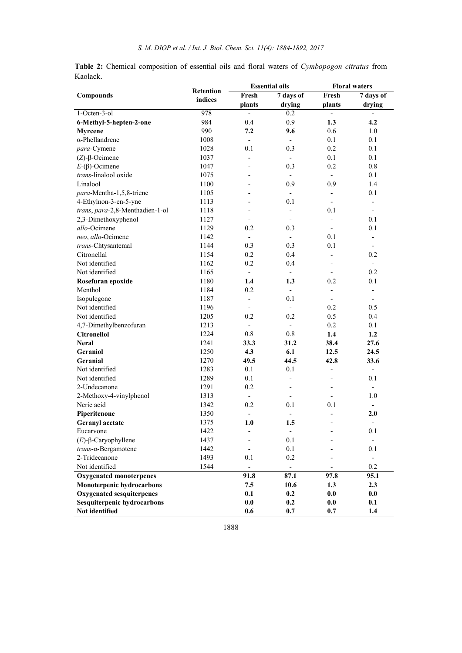|                                  | <b>Retention</b> |                          | <b>Essential oils</b>    | <b>Floral waters</b>     |                          |  |
|----------------------------------|------------------|--------------------------|--------------------------|--------------------------|--------------------------|--|
| <b>Compounds</b>                 | indices          | Fresh                    | $7$ days of              | Fresh                    | 7 days of                |  |
|                                  |                  | plants                   | drying                   | plants                   | drying                   |  |
| $1-Octen-3-o1$                   | 978              |                          | 0.2                      |                          |                          |  |
| 6-Methyl-5-hepten-2-one          | 984              | 0.4                      | 0.9                      | 1.3                      | 4.2                      |  |
| Myrcene                          | 990              | 7.2                      | 9.6                      | 0.6                      | 1.0                      |  |
| $\alpha$ -Phellandrene           | 1008             | $\blacksquare$           | $\overline{\phantom{a}}$ | 0.1                      | 0.1                      |  |
| para-Cymene                      | 1028             | 0.1                      | 0.3                      | 0.2                      | 0.1                      |  |
| $(Z)$ - $\beta$ -Ocimene         | 1037             | $\overline{a}$           | $\overline{\phantom{0}}$ | 0.1                      | 0.1                      |  |
| $E-(\beta)$ -Ocimene             | 1047             |                          | 0.3                      | 0.2                      | 0.8                      |  |
| trans-linalool oxide             | 1075             | $\overline{a}$           | $\overline{\phantom{0}}$ | $\overline{\phantom{0}}$ | 0.1                      |  |
| Linalool                         | 1100             | L,                       | 0.9                      | 0.9                      | 1.4                      |  |
| para-Mentha-1,5,8-triene         | 1105             | $\overline{\phantom{0}}$ | $\overline{\phantom{a}}$ | $\overline{\phantom{a}}$ | 0.1                      |  |
| 4-Ethylnon-3-en-5-yne            | 1113             | $\overline{a}$           | 0.1                      | $\overline{\phantom{a}}$ | $\overline{\phantom{a}}$ |  |
| trans, para-2,8-Menthadien-1-ol  | 1118             |                          | $\overline{\phantom{0}}$ | 0.1                      |                          |  |
| 2,3-Dimethoxyphenol              | 1127             |                          | $\overline{a}$           | $\overline{a}$           | 0.1                      |  |
| allo-Ocimene                     | 1129             | 0.2                      | 0.3                      | $\overline{\phantom{0}}$ | 0.1                      |  |
| neo, allo-Ocimene                | 1142             | $\blacksquare$           | $\overline{\phantom{0}}$ | 0.1                      | $\overline{\phantom{0}}$ |  |
| trans-Chtysantemal               | 1144             | 0.3                      | 0.3                      | 0.1                      |                          |  |
| Citronellal                      | 1154             | 0.2                      | 0.4                      | $\overline{\phantom{0}}$ | 0.2                      |  |
| Not identified                   | 1162             | 0.2                      | 0.4                      |                          | $\overline{\phantom{a}}$ |  |
| Not identified                   | 1165             | $\mathbf{r}$             | $\blacksquare$           | $\overline{\phantom{0}}$ | 0.2                      |  |
| Rosefuran epoxide                | 1180             | 1.4                      | 1.3                      | 0.2                      | 0.1                      |  |
| Menthol                          | 1184             | 0.2                      | $\overline{\phantom{a}}$ | $\blacksquare$           | $\frac{1}{2}$            |  |
| Isopulegone                      | 1187             | $\frac{1}{2}$            | 0.1                      | $\overline{\phantom{0}}$ |                          |  |
| Not identified                   | 1196             | $\overline{\phantom{a}}$ | $\overline{\phantom{0}}$ | 0.2                      | 0.5                      |  |
| Not identified                   | 1205             | 0.2                      | 0.2                      | 0.5                      | 0.4                      |  |
| 4,7-Dimethylbenzofuran           | 1213             | $\overline{\phantom{a}}$ | $\overline{\phantom{0}}$ | 0.2                      | 0.1                      |  |
| <b>Citronellol</b>               | 1224             | 0.8                      | $0.8\,$                  | 1.4                      | 1.2                      |  |
| <b>Neral</b>                     | 1241             | 33.3                     | 31.2                     | 38.4                     | 27.6                     |  |
| <b>Geraniol</b>                  | 1250             | 4.3                      | 6.1                      | 12.5                     | 24.5                     |  |
| <b>Geranial</b>                  | 1270             | 49.5                     | 44.5                     | 42.8                     | 33.6                     |  |
| Not identified                   | 1283             | 0.1                      | 0.1                      | $\overline{\phantom{0}}$ | $\overline{\phantom{a}}$ |  |
| Not identified                   | 1289             | 0.1                      | $\overline{\phantom{0}}$ | $\overline{\phantom{0}}$ | 0.1                      |  |
| 2-Undecanone                     | 1291             | 0.2                      | $\overline{\phantom{0}}$ | $\overline{\phantom{m}}$ |                          |  |
| 2-Methoxy-4-vinylphenol          | 1313             |                          |                          |                          | 1.0                      |  |
| Neric acid                       | 1342             | 0.2                      | 0.1                      | 0.1                      |                          |  |
| Piperitenone                     | 1350             |                          |                          | $\overline{a}$           | 2.0                      |  |
| Geranyl acetate                  | 1375             | 1.0                      | 1.5                      | $\overline{a}$           | $\overline{\phantom{a}}$ |  |
| Eucarvone                        | 1422             |                          |                          |                          | $0.1\,$                  |  |
| $(E)$ -β-Caryophyllene           | 1437             |                          | 0.1                      |                          | $\overline{\phantom{a}}$ |  |
| trans-a-Bergamotene              | 1442             | $\overline{a}$           | 0.1                      |                          | 0.1                      |  |
| 2-Tridecanone                    | 1493             | 0.1                      | 0.2                      |                          | $\overline{\phantom{a}}$ |  |
| Not identified                   | 1544             |                          | $\blacksquare$           |                          | 0.2                      |  |
| <b>Oxygenated monoterpenes</b>   |                  | 91.8                     | 87.1                     | 97.8                     | 95.1                     |  |
| Monoterpenic hydrocarbons        |                  | 7.5                      | 10.6                     | 1.3                      | 2.3                      |  |
| <b>Oxygenated sesquiterpenes</b> |                  | 0.1                      | 0.2                      | 0.0                      | 0.0                      |  |
| Sesquiterpenic hydrocarbons      |                  | $\mathbf{0.0}$           | 0.2                      | 0.0                      | 0.1                      |  |
| Not identified                   |                  | 0.6                      | 0.7                      | 0.7                      | 1.4                      |  |

Table 2: Chemical composition of essential oils and floral waters of *Cymbopogon citratus* from Kaolack.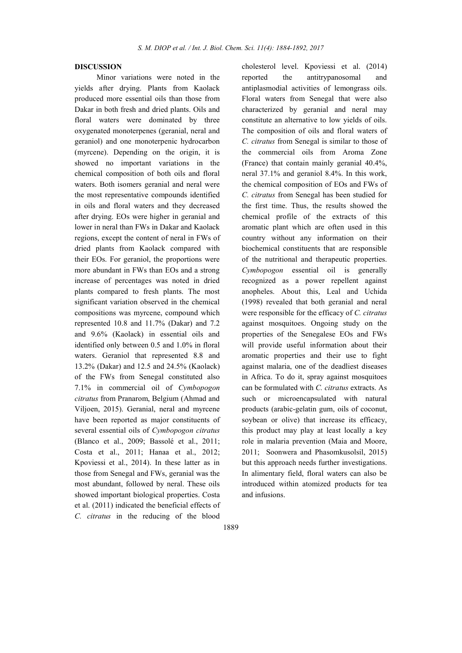### DISCUSSION

Minor variations were noted in the yields after drying. Plants from Kaolack produced more essential oils than those from Dakar in both fresh and dried plants. Oils and floral waters were dominated by three oxygenated monoterpenes (geranial, neral and geraniol) and one monoterpenic hydrocarbon (myrcene). Depending on the origin, it is showed no important variations in the chemical composition of both oils and floral waters. Both isomers geranial and neral were the most representative compounds identified in oils and floral waters and they decreased after drying. EOs were higher in geranial and lower in neral than FWs in Dakar and Kaolack regions, except the content of neral in FWs of dried plants from Kaolack compared with their EOs. For geraniol, the proportions were more abundant in FWs than EOs and a strong increase of percentages was noted in dried plants compared to fresh plants. The most significant variation observed in the chemical compositions was myrcene, compound which represented 10.8 and 11.7% (Dakar) and 7.2 and 9.6% (Kaolack) in essential oils and identified only between 0.5 and 1.0% in floral waters. Geraniol that represented 8.8 and 13.2% (Dakar) and 12.5 and 24.5% (Kaolack) of the FWs from Senegal constituted also 7.1% in commercial oil of *Cymbopogon citratus* from Pranarom, Belgium (Ahmad and Viljoen, 2015). Geranial, neral and myrcene have been reported as major constituents of several essential oils of *Cymbopogon citratus* (Blanco et al., 2009; Bassolé et al., 2011; Costa et al., 2011; Hanaa et al., 2012; Kpoviessi et al., 2014). In these latter as in those from Senegal and FWs, geranial was the most abundant, followed by neral. These oils showed important biological properties. Costa et al. (2011) indicated the beneficial effects of *C. citratus* in the reducing of the blood

cholesterol level. Kpoviessi et al. (2014) reported the antitrypanosomal and antiplasmodial activities of lemongrass oils. Floral waters from Senegal that were also characterized by geranial and neral may constitute an alternative to low yields of oils. The composition of oils and floral waters of *C. citratus* from Senegal is similar to those of the commercial oils from Aroma Zone (France) that contain mainly geranial 40.4%, neral 37.1% and geraniol 8.4%. In this work, the chemical composition of EOs and FWs of *C. citratus* from Senegal has been studied for the first time. Thus, the results showed the chemical profile of the extracts of this aromatic plant which are often used in this country without any information on their biochemical constituents that are responsible of the nutritional and therapeutic properties. *Cymbopogon* essential oil is generally recognized as a power repellent against anopheles. About this, Leal and Uchida (1998) revealed that both geranial and neral were responsible for the efficacy of *C. citratus* against mosquitoes. Ongoing study on the properties of the Senegalese EOs and FWs will provide useful information about their aromatic properties and their use to fight against malaria, one of the deadliest diseases in Africa. To do it, spray against mosquitoes can be formulated with *C. citratus* extracts. As such or microencapsulated with natural products (arabic-gelatin gum, oils of coconut, soybean or olive) that increase its efficacy, this product may play at least locally a key role in malaria prevention (Maia and Moore, 2011; Soonwera and Phasomkusolsil, 2015) but this approach needs further investigations. In alimentary field, floral waters can also be introduced within atomized products for tea and infusions.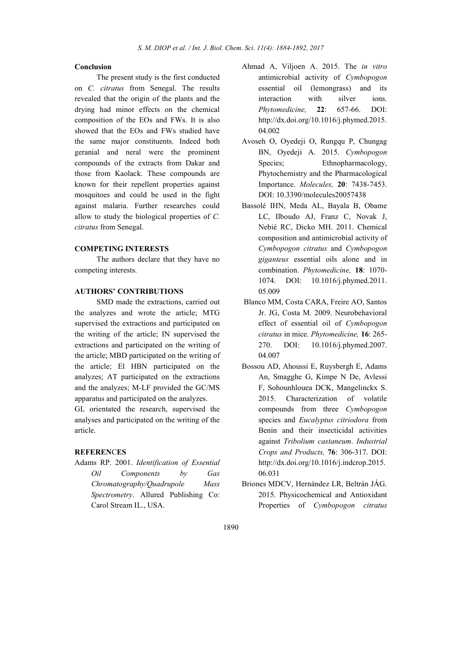## Conclusion

The present study is the first conducted on *C. citratus* from Senegal. The results revealed that the origin of the plants and the drying had minor effects on the chemical composition of the EOs and FWs. It is also showed that the EOs and FWs studied have the same major constituents. Indeed both geranial and neral were the prominent compounds of the extracts from Dakar and those from Kaolack. These compounds are known for their repellent properties against mosquitoes and could be used in the fight against malaria. Further researches could allow to study the biological properties of *C. citratus* from Senegal.

## COMPETING INTERESTS

The authors declare that they have no competing interests.

## AUTHORS' CONTRIBUTIONS

SMD made the extractions, carried out the analyzes and wrote the article; MTG supervised the extractions and participated on the writing of the article; IN supervised the extractions and participated on the writing of the article; MBD participated on the writing of the article; El HBN participated on the analyzes; AT participated on the extractions and the analyzes; M-LF provided the GC/MS apparatus and participated on the analyzes.

GL orientated the research, supervised the analyses and participated on the writing of the article.

#### **REFERENCES**

Adams RP. 2001. *Identification of Essential Oil Components by Gas Chromatography/Quadrupole Mass Spectrometry*. Allured Publishing Co: Carol Stream IL., USA.

- Ahmad A, Viljoen A. 2015. The *in vitro*  antimicrobial activity of *Cymbopogon*  essential oil (lemongrass) and its interaction with silver ions. *Phytomedicine,* 22: 657-66. DOI: http://dx.doi.org/10.1016/j.phymed.2015. 04.002
- Avoseh O, Oyedeji O, Rungqu P, Chungag BN, Oyedeji A. 2015. *Cymbopogon*  Species; Ethnopharmacology, Phytochemistry and the Pharmacological Importance. *Molecules,* 20: 7438-7453. DOI: 10.3390/molecules20057438
- Bassolé IHN, Meda AL, Bayala B, Obame LC, Ilboudo AJ, Franz C, Novak J, Nebié RC, Dicko MH. 2011. Chemical composition and antimicrobial activity of *Cymbopogon citratus* and *Cymbopogon giganteus* essential oils alone and in combination. *Phytomedicine,* 18: 1070- 1074. DOI: 10.1016/j.phymed.2011. 05.009
- Blanco MM, Costa CARA, Freire AO, Santos Jr. JG, Costa M. 2009. Neurobehavioral effect of essential oil of *Cymbopogon citratus* in mice. *Phytomedicine,* 16: 265- 270. DOI: 10.1016/j.phymed.2007. 04.007
- Bossou AD, Ahoussi E, Ruysbergh E, Adams An, Smagghe G, Kimpe N De, Avlessi F, Sohounhlouea DCK, Mangelinckx S. 2015. Characterization of volatile compounds from three *Cymbopogon* species and *Eucalyptus citriodora* from Benin and their insecticidal activities against *Tribolium castaneum*. *Industrial Crops and Products,* 76: 306-317. DOI: http://dx.doi.org/10.1016/j.indcrop.2015. 06.031
- Briones MDCV, Hernández LR, Beltrán JÁG. 2015. Physicochemical and Antioxidant Properties of *Cymbopogon citratus*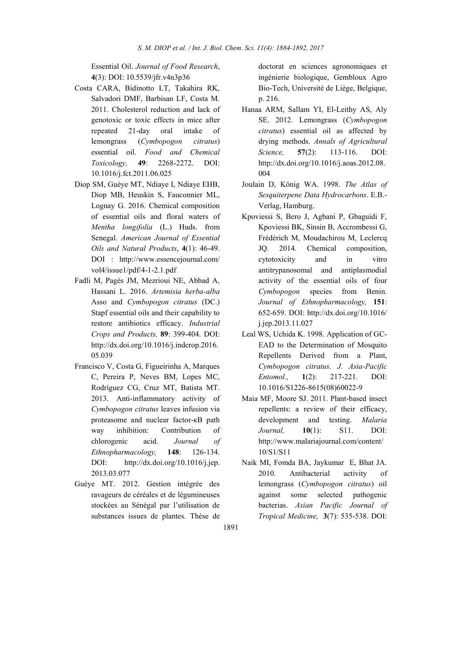Essential Oil. *Journal of Food Research*, 4(3): DOI: 10.5539/jfr.v4n3p36

- Costa CARA, Bidinotto LT, Takahira RK, Salvadori DMF, Barbisan LF, Costa M. 2011. Cholesterol reduction and lack of genotoxic or toxic effects in mice after repeated 21-day oral intake of lemongrass (*Cymbopogon citratus*) essential oil. *Food and Chemical Toxicology,* 49: 2268-2272. DOI: 10.1016/j.fct.2011.06.025
- Diop SM, Guèye MT, Ndiaye I, Ndiaye EHB, Diop MB, Heuskin S, Fauconnier ML, Lognay G. 2016. Chemical composition of essential oils and floral waters of *Mentha longifolia* (L.) Huds. from Senegal. *American Journal of Essential Oils and Natural Products*, 4(1): 46-49. DOI : http://www.essencejournal.com/ vol4/issue1/pdf/4-1-2.1.pdf
- Fadli M, Pagès JM, Mezrioui NE, Abbad A, Hassani L. 2016. *Artemisia herba-alba* Asso and *Cymbopogon citratus* (DC.) Stapf essential oils and their capability to restore antibiotics efficacy. *Industrial Crops and Products,* 89: 399-404. DOI: http://dx.doi.org/10.1016/j.indcrop.2016. 05.039
- Francisco V, Costa G, Figueirinha A, Marques C, Pereira P, Neves BM, Lopes MC, Rodríguez CG, Cruz MT, Batista MT. 2013. Anti-inflammatory activity of *Cymbopogon citratus* leaves infusion via proteasome and nuclear factor-κB path way inhibition: Contribution of chlorogenic acid. *Journal of Ethnopharmacology,* 148: 126-134. DOI: http://dx.doi.org/10.1016/j.jep. 2013.03.077
- Guèye MT. 2012. Gestion intégrée des ravageurs de céréales et de légumineuses stockées au Sénégal par l'utilisation de substances issues de plantes. Thèse de

doctorat en sciences agronomiques et ingénierie biologique, Gembloux Agro Bio-Tech, Université de Liège, Belgique, p. 216.

- Hanaa ARM, Sallam YI, El-Leithy AS, Aly SE. 2012. Lemongrass (*Cymbopogon citratus*) essential oil as affected by drying methods. *Annals of Agricultural Science,* 57(2): 113-116. DOI: http://dx.doi.org/10.1016/j.aoas.2012.08. 004
- Joulain D, König WA. 1998. *The Atlas of Sesquiterpene Data Hydrocarbons*. E.B.- Verlag, Hamburg.
- Kpoviessi S, Bero J, Agbani P, Gbaguidi F, Kpoviessi BK, Sinsin B, Accrombessi G, Frédérich M, Moudachirou M, Leclercq JQ. 2014. Chemical composition, cytotoxicity and in vitro antitrypanosomal and antiplasmodial activity of the essential oils of four *Cymbopogon* species from Benin. *Journal of Ethnopharmacology,* 151: 652-659. DOI: http://dx.doi.org/10.1016/ j.jep.2013.11.027
- Leal WS, Uchida K. 1998. Application of GC-EAD to the Determination of Mosquito Repellents Derived from a Plant, *Cymbopogon citratus*. *J. Asia-Pacific Entomol.,* 1(2): 217-221. DOI: 10.1016/S1226-8615(08)60022-9
- Maia MF, Moore SJ. 2011. Plant-based insect repellents: a review of their efficacy, development and testing. *Malaria Journal,* 10(1): S11. DOI: http://www.malariajournal.com/content/ 10/S1/S11
- Naik MI, Fomda BA, Jaykumar E, Bhat JA. 2010. Antibacterial activity of lemongrass (*Cymbopogon citratus*) oil against some selected pathogenic bacterias. *Asian Pacific Journal of Tropical Medicine,* 3(7): 535-538. DOI: